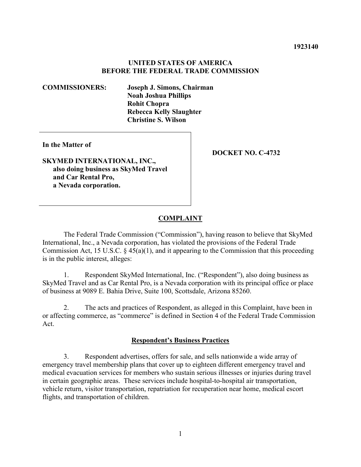### **UNITED STATES OF AMERICA BEFORE THE FEDERAL TRADE COMMISSION**

**COMMISSIONERS: Joseph J. Simons, Chairman Noah Joshua Phillips Rohit Chopra Rebecca Kelly Slaughter Christine S. Wilson** 

**In the Matter of**

**SKYMED INTERNATIONAL, INC., also doing business as SkyMed Travel and Car Rental Pro, a Nevada corporation.** 

**DOCKET NO. C-4732**

### **COMPLAINT**

The Federal Trade Commission ("Commission"), having reason to believe that SkyMed International, Inc., a Nevada corporation, has violated the provisions of the Federal Trade Commission Act, 15 U.S.C. § 45(a)(1), and it appearing to the Commission that this proceeding is in the public interest, alleges:

1. Respondent SkyMed International, Inc. ("Respondent"), also doing business as SkyMed Travel and as Car Rental Pro, is a Nevada corporation with its principal office or place of business at 9089 E. Bahia Drive, Suite 100, Scottsdale, Arizona 85260.

2. The acts and practices of Respondent, as alleged in this Complaint, have been in or affecting commerce, as "commerce" is defined in Section 4 of the Federal Trade Commission Act.

### **Respondent's Business Practices**

3. Respondent advertises, offers for sale, and sells nationwide a wide array of emergency travel membership plans that cover up to eighteen different emergency travel and medical evacuation services for members who sustain serious illnesses or injuries during travel in certain geographic areas. These services include hospital-to-hospital air transportation, vehicle return, visitor transportation, repatriation for recuperation near home, medical escort flights, and transportation of children.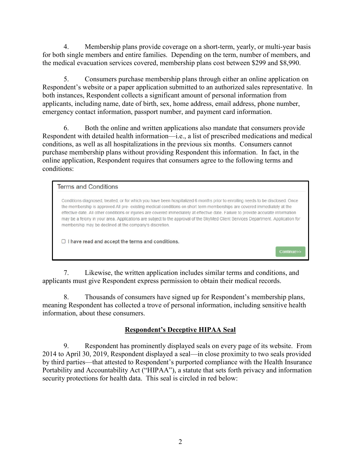4. Membership plans provide coverage on a short-term, yearly, or multi-year basis for both single members and entire families. Depending on the term, number of members, and the medical evacuation services covered, membership plans cost between \$299 and \$8,990.

5. Consumers purchase membership plans through either an online application on Respondent's website or a paper application submitted to an authorized sales representative. In both instances, Respondent collects a significant amount of personal information from applicants, including name, date of birth, sex, home address, email address, phone number, emergency contact information, passport number, and payment card information.

6. Both the online and written applications also mandate that consumers provide Respondent with detailed health information—i.e., a list of prescribed medications and medical conditions, as well as all hospitalizations in the previous six months. Consumers cannot purchase membership plans without providing Respondent this information. In fact, in the online application, Respondent requires that consumers agree to the following terms and conditions:

## **Terms and Conditions**

Conditions diagnosed, treated, or for which you have been hospitalized 6 months prior to enrolling needs to be disclosed. Once the membership is approved All pre-existing medical conditions on short term memberships are covered immediately at the effective date. All other conditions or injuries are covered immediately at effective date. Failure to provide accurate information may be a felony in your area. Applications are subject to the approval of the SkyMed Client Services Department. Application for membership may be declined at the company's discretion.

Continue>

 $\Box$  I have read and accept the terms and conditions.

7. Likewise, the written application includes similar terms and conditions, and applicants must give Respondent express permission to obtain their medical records.

8. Thousands of consumers have signed up for Respondent's membership plans, meaning Respondent has collected a trove of personal information, including sensitive health information, about these consumers.

# **Respondent's Deceptive HIPAA Seal**

9. Respondent has prominently displayed seals on every page of its website. From 2014 to April 30, 2019, Respondent displayed a seal—in close proximity to two seals provided by third parties—that attested to Respondent's purported compliance with the Health Insurance Portability and Accountability Act ("HIPAA"), a statute that sets forth privacy and information security protections for health data. This seal is circled in red below: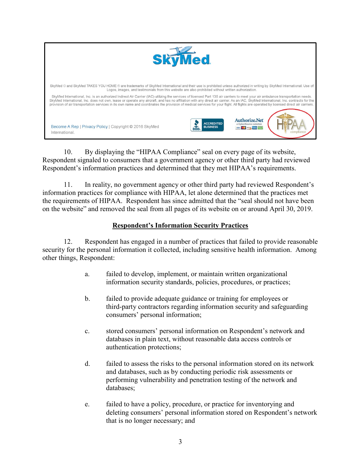

10. By displaying the "HIPAA Compliance" seal on every page of its website, Respondent signaled to consumers that a government agency or other third party had reviewed Respondent's information practices and determined that they met HIPAA's requirements.

11. In reality, no government agency or other third party had reviewed Respondent's information practices for compliance with HIPAA, let alone determined that the practices met the requirements of HIPAA. Respondent has since admitted that the "seal should not have been on the website" and removed the seal from all pages of its website on or around April 30, 2019.

# **Respondent's Information Security Practices**

12. Respondent has engaged in a number of practices that failed to provide reasonable security for the personal information it collected, including sensitive health information. Among other things, Respondent:

- a. failed to develop, implement, or maintain written organizational information security standards, policies, procedures, or practices;
- b. failed to provide adequate guidance or training for employees or third-party contractors regarding information security and safeguarding consumers' personal information;
- c. stored consumers' personal information on Respondent's network and databases in plain text, without reasonable data access controls or authentication protections;
- d. failed to assess the risks to the personal information stored on its network and databases, such as by conducting periodic risk assessments or performing vulnerability and penetration testing of the network and databases;
- e. failed to have a policy, procedure, or practice for inventorying and deleting consumers' personal information stored on Respondent's network that is no longer necessary; and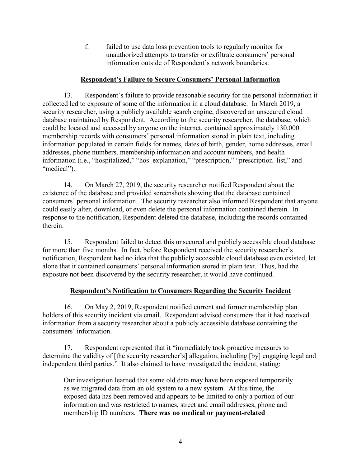f. failed to use data loss prevention tools to regularly monitor for unauthorized attempts to transfer or exfiltrate consumers' personal information outside of Respondent's network boundaries.

## **Respondent's Failure to Secure Consumers' Personal Information**

13. Respondent's failure to provide reasonable security for the personal information it collected led to exposure of some of the information in a cloud database. In March 2019, a security researcher, using a publicly available search engine, discovered an unsecured cloud database maintained by Respondent. According to the security researcher, the database, which could be located and accessed by anyone on the internet, contained approximately 130,000 membership records with consumers' personal information stored in plain text, including information populated in certain fields for names, dates of birth, gender, home addresses, email addresses, phone numbers, membership information and account numbers, and health information (i.e., "hospitalized," "hos explanation," "prescription," "prescription list," and "medical").

14. On March 27, 2019, the security researcher notified Respondent about the existence of the database and provided screenshots showing that the database contained consumers' personal information. The security researcher also informed Respondent that anyone could easily alter, download, or even delete the personal information contained therein. In response to the notification, Respondent deleted the database, including the records contained therein.

15. Respondent failed to detect this unsecured and publicly accessible cloud database for more than five months. In fact, before Respondent received the security researcher's notification, Respondent had no idea that the publicly accessible cloud database even existed, let alone that it contained consumers' personal information stored in plain text. Thus, had the exposure not been discovered by the security researcher, it would have continued.

# **Respondent's Notification to Consumers Regarding the Security Incident**

16. On May 2, 2019, Respondent notified current and former membership plan holders of this security incident via email. Respondent advised consumers that it had received information from a security researcher about a publicly accessible database containing the consumers' information.

17. Respondent represented that it "immediately took proactive measures to determine the validity of [the security researcher's] allegation, including [by] engaging legal and independent third parties." It also claimed to have investigated the incident, stating:

Our investigation learned that some old data may have been exposed temporarily as we migrated data from an old system to a new system. At this time, the exposed data has been removed and appears to be limited to only a portion of our information and was restricted to names, street and email addresses, phone and membership ID numbers. **There was no medical or payment-related**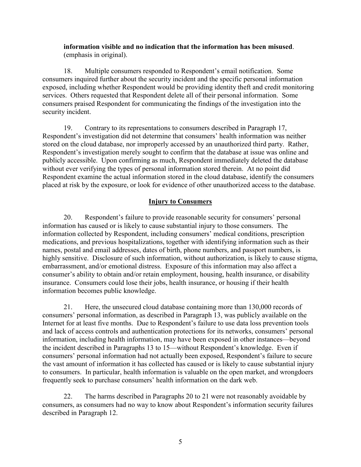## **information visible and no indication that the information has been misused**. (emphasis in original).

18. Multiple consumers responded to Respondent's email notification. Some consumers inquired further about the security incident and the specific personal information exposed, including whether Respondent would be providing identity theft and credit monitoring services. Others requested that Respondent delete all of their personal information. Some consumers praised Respondent for communicating the findings of the investigation into the security incident.

19. Contrary to its representations to consumers described in Paragraph 17, Respondent's investigation did not determine that consumers' health information was neither stored on the cloud database, nor improperly accessed by an unauthorized third party. Rather, Respondent's investigation merely sought to confirm that the database at issue was online and publicly accessible. Upon confirming as much, Respondent immediately deleted the database without ever verifying the types of personal information stored therein. At no point did Respondent examine the actual information stored in the cloud database, identify the consumers placed at risk by the exposure, or look for evidence of other unauthorized access to the database.

# **Injury to Consumers**

20. Respondent's failure to provide reasonable security for consumers' personal information has caused or is likely to cause substantial injury to those consumers. The information collected by Respondent, including consumers' medical conditions, prescription medications, and previous hospitalizations, together with identifying information such as their names, postal and email addresses, dates of birth, phone numbers, and passport numbers, is highly sensitive. Disclosure of such information, without authorization, is likely to cause stigma, embarrassment, and/or emotional distress. Exposure of this information may also affect a consumer's ability to obtain and/or retain employment, housing, health insurance, or disability insurance. Consumers could lose their jobs, health insurance, or housing if their health information becomes public knowledge.

21. Here, the unsecured cloud database containing more than 130,000 records of consumers' personal information, as described in Paragraph 13, was publicly available on the Internet for at least five months. Due to Respondent's failure to use data loss prevention tools and lack of access controls and authentication protections for its networks, consumers' personal information, including health information, may have been exposed in other instances—beyond the incident described in Paragraphs 13 to 15—without Respondent's knowledge. Even if consumers' personal information had not actually been exposed, Respondent's failure to secure the vast amount of information it has collected has caused or is likely to cause substantial injury to consumers. In particular, health information is valuable on the open market, and wrongdoers frequently seek to purchase consumers' health information on the dark web.

22. The harms described in Paragraphs 20 to 21 were not reasonably avoidable by consumers, as consumers had no way to know about Respondent's information security failures described in Paragraph 12.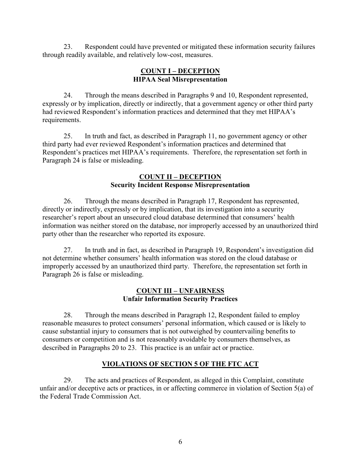23. Respondent could have prevented or mitigated these information security failures through readily available, and relatively low-cost, measures.

## **COUNT I – DECEPTION HIPAA Seal Misrepresentation**

24. Through the means described in Paragraphs 9 and 10, Respondent represented, expressly or by implication, directly or indirectly, that a government agency or other third party had reviewed Respondent's information practices and determined that they met HIPAA's requirements.

25. In truth and fact, as described in Paragraph 11, no government agency or other third party had ever reviewed Respondent's information practices and determined that Respondent's practices met HIPAA's requirements. Therefore, the representation set forth in Paragraph 24 is false or misleading.

## **COUNT II – DECEPTION Security Incident Response Misrepresentation**

26. Through the means described in Paragraph 17, Respondent has represented, directly or indirectly, expressly or by implication, that its investigation into a security researcher's report about an unsecured cloud database determined that consumers' health information was neither stored on the database, nor improperly accessed by an unauthorized third party other than the researcher who reported its exposure.

27. In truth and in fact, as described in Paragraph 19, Respondent's investigation did not determine whether consumers' health information was stored on the cloud database or improperly accessed by an unauthorized third party. Therefore, the representation set forth in Paragraph 26 is false or misleading.

## **COUNT III – UNFAIRNESS Unfair Information Security Practices**

28. Through the means described in Paragraph 12, Respondent failed to employ reasonable measures to protect consumers' personal information, which caused or is likely to cause substantial injury to consumers that is not outweighed by countervailing benefits to consumers or competition and is not reasonably avoidable by consumers themselves, as described in Paragraphs 20 to 23. This practice is an unfair act or practice.

# **VIOLATIONS OF SECTION 5 OF THE FTC ACT**

29. The acts and practices of Respondent, as alleged in this Complaint, constitute unfair and/or deceptive acts or practices, in or affecting commerce in violation of Section 5(a) of the Federal Trade Commission Act.